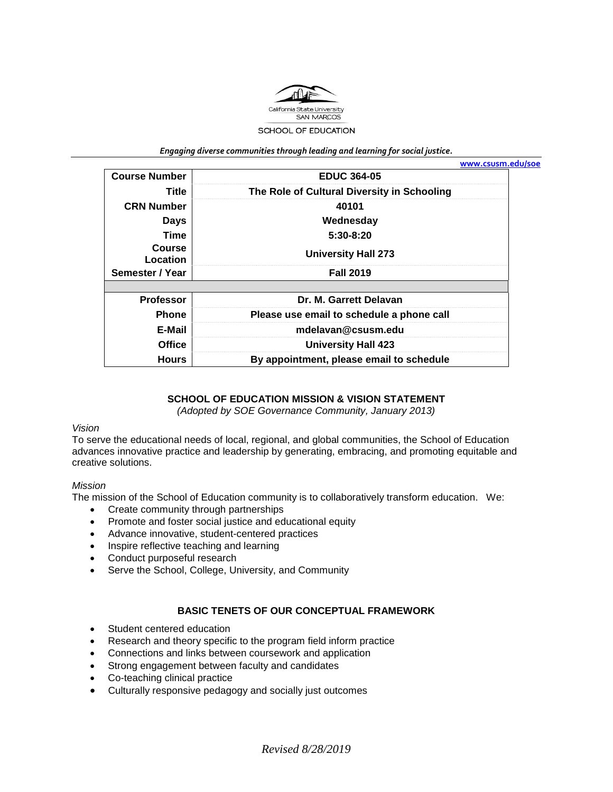

*Engaging diverse communities through leading and learning for social justice.*

|                           |                                             | www.csusm.edu/soe |
|---------------------------|---------------------------------------------|-------------------|
| <b>Course Number</b>      | <b>EDUC 364-05</b>                          |                   |
| Title                     | The Role of Cultural Diversity in Schooling |                   |
| <b>CRN Number</b>         | 40101                                       |                   |
| <b>Days</b>               | Wednesday                                   |                   |
| <b>Time</b>               | $5:30-8:20$                                 |                   |
| <b>Course</b><br>Location | <b>University Hall 273</b>                  |                   |
| Semester / Year           | <b>Fall 2019</b>                            |                   |
|                           |                                             |                   |
| <b>Professor</b>          | Dr. M. Garrett Delavan                      |                   |
| <b>Phone</b>              | Please use email to schedule a phone call   |                   |
| E-Mail                    | mdelavan@csusm.edu                          |                   |
| <b>Office</b>             | <b>University Hall 423</b>                  |                   |
| <b>Hours</b>              | By appointment, please email to schedule    |                   |

## **SCHOOL OF EDUCATION MISSION & VISION STATEMENT**

*(Adopted by SOE Governance Community, January 2013)*

#### *Vision*

To serve the educational needs of local, regional, and global communities, the School of Education advances innovative practice and leadership by generating, embracing, and promoting equitable and creative solutions.

#### *Mission*

The mission of the School of Education community is to collaboratively transform education. We:

- Create community through partnerships
- Promote and foster social justice and educational equity
- Advance innovative, student-centered practices
- Inspire reflective teaching and learning
- Conduct purposeful research
- Serve the School, College, University, and Community

#### **BASIC TENETS OF OUR CONCEPTUAL FRAMEWORK**

- Student centered education
- Research and theory specific to the program field inform practice
- Connections and links between coursework and application
- Strong engagement between faculty and candidates
- Co-teaching clinical practice
- Culturally responsive pedagogy and socially just outcomes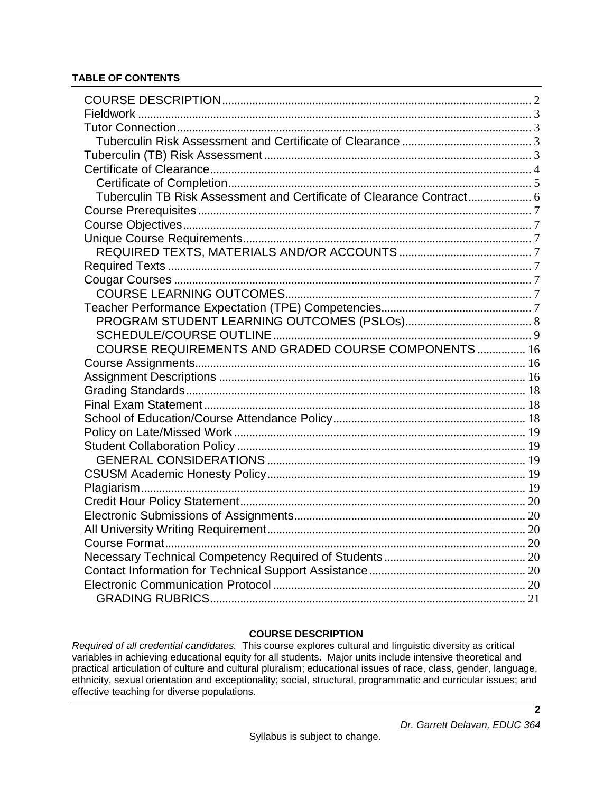| Tuberculin TB Risk Assessment and Certificate of Clearance Contract 6 |  |
|-----------------------------------------------------------------------|--|
|                                                                       |  |
|                                                                       |  |
|                                                                       |  |
|                                                                       |  |
|                                                                       |  |
|                                                                       |  |
|                                                                       |  |
|                                                                       |  |
|                                                                       |  |
|                                                                       |  |
| COURSE REQUIREMENTS AND GRADED COURSE COMPONENTS  16                  |  |
|                                                                       |  |
|                                                                       |  |
|                                                                       |  |
|                                                                       |  |
|                                                                       |  |
|                                                                       |  |
|                                                                       |  |
|                                                                       |  |
|                                                                       |  |
|                                                                       |  |
|                                                                       |  |
|                                                                       |  |
|                                                                       |  |
|                                                                       |  |
|                                                                       |  |
|                                                                       |  |
|                                                                       |  |
|                                                                       |  |

# **COURSE DESCRIPTION**

<span id="page-1-0"></span>*Required of all credential candidates.* This course explores cultural and linguistic diversity as critical variables in achieving educational equity for all students. Major units include intensive theoretical and practical articulation of culture and cultural pluralism; educational issues of race, class, gender, language, ethnicity, sexual orientation and exceptionality; social, structural, programmatic and curricular issues; and effective teaching for diverse populations.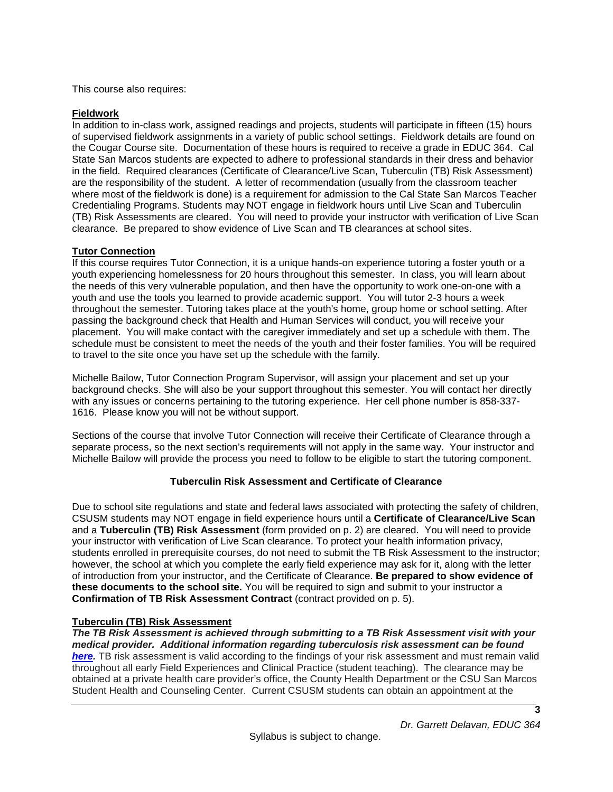This course also requires:

## <span id="page-2-0"></span>**Fieldwork**

In addition to in-class work, assigned readings and projects, students will participate in fifteen (15) hours of supervised fieldwork assignments in a variety of public school settings. Fieldwork details are found on the Cougar Course site. Documentation of these hours is required to receive a grade in EDUC 364. Cal State San Marcos students are expected to adhere to professional standards in their dress and behavior in the field. Required clearances (Certificate of Clearance/Live Scan, Tuberculin (TB) Risk Assessment) are the responsibility of the student. A letter of recommendation (usually from the classroom teacher where most of the fieldwork is done) is a requirement for admission to the Cal State San Marcos Teacher Credentialing Programs. Students may NOT engage in fieldwork hours until Live Scan and Tuberculin (TB) Risk Assessments are cleared. You will need to provide your instructor with verification of Live Scan clearance. Be prepared to show evidence of Live Scan and TB clearances at school sites.

## <span id="page-2-1"></span>**Tutor Connection**

If this course requires Tutor Connection, it is a unique hands-on experience tutoring a foster youth or a youth experiencing homelessness for 20 hours throughout this semester. In class, you will learn about the needs of this very vulnerable population, and then have the opportunity to work one-on-one with a youth and use the tools you learned to provide academic support. You will tutor 2-3 hours a week throughout the semester. Tutoring takes place at the youth's home, group home or school setting. After passing the background check that Health and Human Services will conduct, you will receive your placement. You will make contact with the caregiver immediately and set up a schedule with them. The schedule must be consistent to meet the needs of the youth and their foster families. You will be required to travel to the site once you have set up the schedule with the family.

Michelle Bailow, Tutor Connection Program Supervisor, will assign your placement and set up your background checks. She will also be your support throughout this semester. You will contact her directly with any issues or concerns pertaining to the tutoring experience. Her cell phone number is 858-337- 1616. Please know you will not be without support.

Sections of the course that involve Tutor Connection will receive their Certificate of Clearance through a separate process, so the next section's requirements will not apply in the same way. Your instructor and Michelle Bailow will provide the process you need to follow to be eligible to start the tutoring component.

# **Tuberculin Risk Assessment and Certificate of Clearance**

<span id="page-2-2"></span>Due to school site regulations and state and federal laws associated with protecting the safety of children, CSUSM students may NOT engage in field experience hours until a **Certificate of Clearance/Live Scan** and a **Tuberculin (TB) Risk Assessment** (form provided on p. 2) are cleared. You will need to provide your instructor with verification of Live Scan clearance. To protect your health information privacy, students enrolled in prerequisite courses, do not need to submit the TB Risk Assessment to the instructor; however, the school at which you complete the early field experience may ask for it, along with the letter of introduction from your instructor, and the Certificate of Clearance. **Be prepared to show evidence of these documents to the school site.** You will be required to sign and submit to your instructor a **Confirmation of TB Risk Assessment Contract** (contract provided on p. 5).

## <span id="page-2-3"></span>**Tuberculin (TB) Risk Assessment**

*The TB Risk Assessment is achieved through submitting to a TB Risk Assessment visit with your medical provider. Additional information regarding tuberculosis risk assessment can be found [here.](https://ctca2015.iescentral.com/filelibrary/TBCB-CA-School-Staff-Volunteer-TB-Risk-Assessment.pdf)* TB risk assessment is valid according to the findings of your risk assessment and must remain valid throughout all early Field Experiences and Clinical Practice (student teaching). The clearance may be obtained at a private health care provider's office, the County Health Department or the CSU San Marcos Student Health and Counseling Center. Current CSUSM students can obtain an appointment at the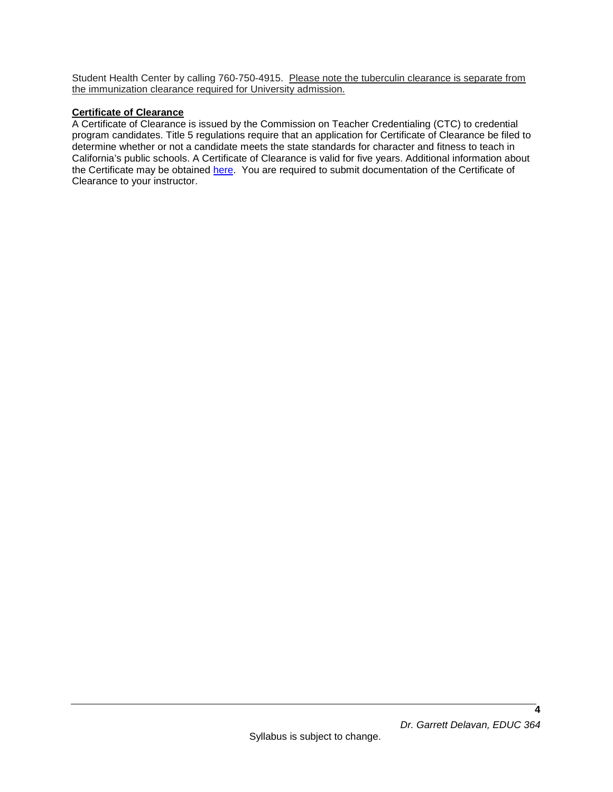Student Health Center by calling 760-750-4915. Please note the tuberculin clearance is separate from the immunization clearance required for University admission.

## <span id="page-3-0"></span>**Certificate of Clearance**

A Certificate of Clearance is issued by the Commission on Teacher Credentialing (CTC) to credential program candidates. Title 5 regulations require that an application for Certificate of Clearance be filed to determine whether or not a candidate meets the state standards for character and fitness to teach in California's public schools. A Certificate of Clearance is valid for five years. Additional information about the Certificate may be obtained [here.](https://www.csusm.edu/soe/documents/currentstudents/formsandresources/credential/certificate_of_clearance.pdf) You are required to submit documentation of the Certificate of Clearance to your instructor.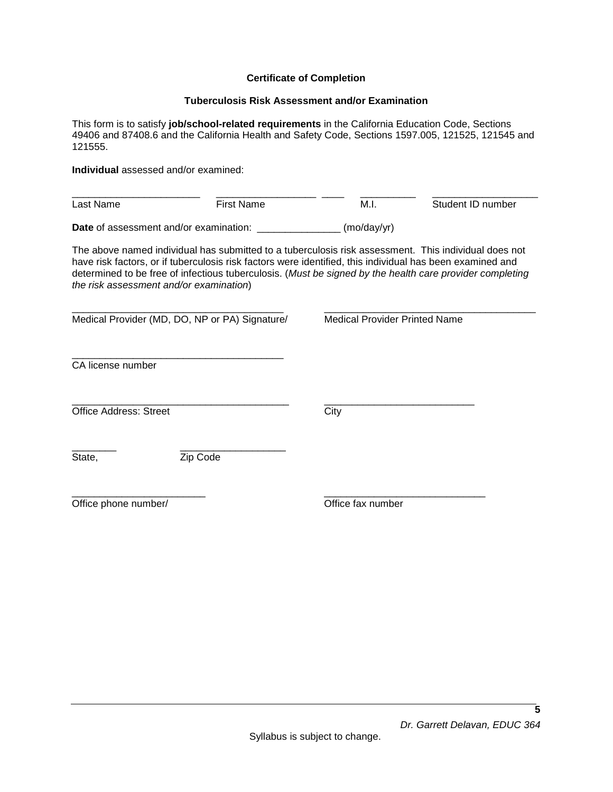### **Certificate of Completion**

#### **Tuberculosis Risk Assessment and/or Examination**

<span id="page-4-0"></span>This form is to satisfy **job/school-related requirements** in the California Education Code, Sections 49406 and 87408.6 and the California Health and Safety Code, Sections 1597.005, 121525, 121545 and 121555.

**Individual** assessed and/or examined:

| Last Name                                     | First Name | M.I.                | Student ID number |
|-----------------------------------------------|------------|---------------------|-------------------|
| <b>Date</b> of assessment and/or examination: |            | $(mod\gamma\gamma)$ |                   |

The above named individual has submitted to a tuberculosis risk assessment. This individual does not have risk factors, or if tuberculosis risk factors were identified, this individual has been examined and determined to be free of infectious tuberculosis. (*Must be signed by the health care provider completing the risk assessment and/or examination*)

| Medical Provider (MD, DO, NP or PA) Signature/ |          | <b>Medical Provider Printed Name</b> |  |
|------------------------------------------------|----------|--------------------------------------|--|
| CA license number                              |          |                                      |  |
| <b>Office Address: Street</b>                  |          | City                                 |  |
| State,                                         | Zip Code |                                      |  |
| Office phone number/                           |          | Office fax number                    |  |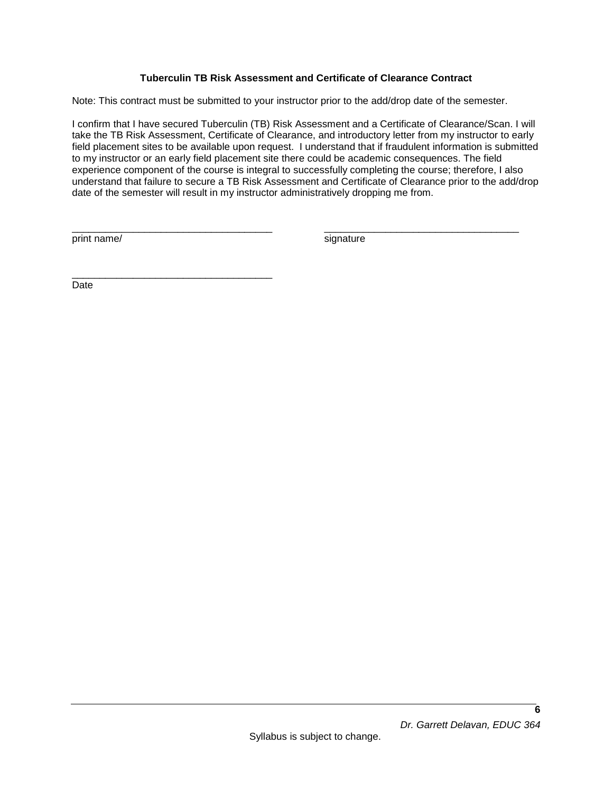## **Tuberculin TB Risk Assessment and Certificate of Clearance Contract**

<span id="page-5-0"></span>Note: This contract must be submitted to your instructor prior to the add/drop date of the semester.

I confirm that I have secured Tuberculin (TB) Risk Assessment and a Certificate of Clearance/Scan. I will take the TB Risk Assessment, Certificate of Clearance, and introductory letter from my instructor to early field placement sites to be available upon request. I understand that if fraudulent information is submitted to my instructor or an early field placement site there could be academic consequences. The field experience component of the course is integral to successfully completing the course; therefore, I also understand that failure to secure a TB Risk Assessment and Certificate of Clearance prior to the add/drop date of the semester will result in my instructor administratively dropping me from.

\_\_\_\_\_\_\_\_\_\_\_\_\_\_\_\_\_\_\_\_\_\_\_\_\_\_\_\_\_\_\_\_\_\_\_\_ \_\_\_\_\_\_\_\_\_\_\_\_\_\_\_\_\_\_\_\_\_\_\_\_\_\_\_\_\_\_\_\_\_\_\_

print name/ signature signature

\_\_\_\_\_\_\_\_\_\_\_\_\_\_\_\_\_\_\_\_\_\_\_\_\_\_\_\_\_\_\_\_\_\_\_\_ Date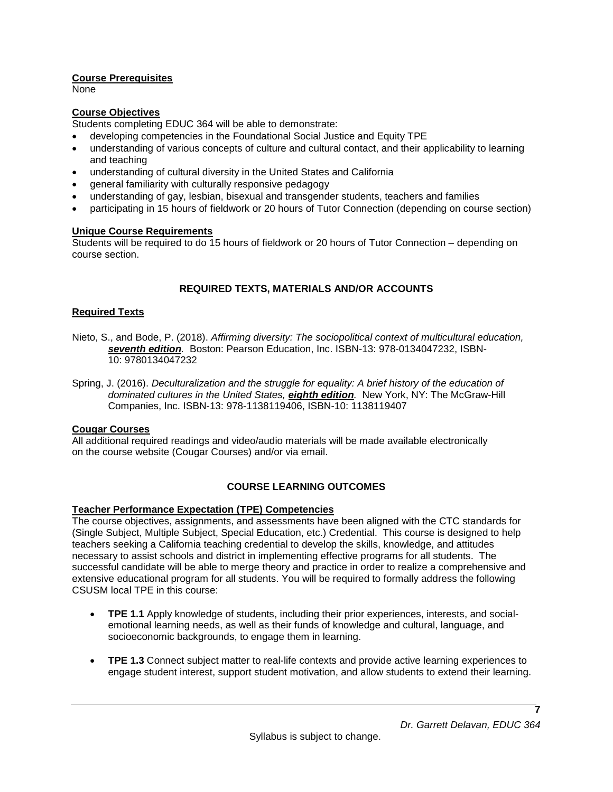## <span id="page-6-0"></span>**Course Prerequisites**

None

## <span id="page-6-1"></span>**Course Objectives**

Students completing EDUC 364 will be able to demonstrate:

- developing competencies in the Foundational Social Justice and Equity TPE
- understanding of various concepts of culture and cultural contact, and their applicability to learning and teaching
- understanding of cultural diversity in the United States and California
- general familiarity with culturally responsive pedagogy
- understanding of gay, lesbian, bisexual and transgender students, teachers and families
- participating in 15 hours of fieldwork or 20 hours of Tutor Connection (depending on course section)

## <span id="page-6-2"></span>**Unique Course Requirements**

Students will be required to do 15 hours of fieldwork or 20 hours of Tutor Connection – depending on course section.

# **REQUIRED TEXTS, MATERIALS AND/OR ACCOUNTS**

## <span id="page-6-4"></span><span id="page-6-3"></span>**Required Texts**

- Nieto, S., and Bode, P. (2018). *Affirming diversity: The sociopolitical context of multicultural education, seventh edition.* Boston: Pearson Education, Inc. ISBN-13: 978-0134047232, ISBN-10: 9780134047232
- Spring, J. (2016). *Deculturalization and the struggle for equality: A brief history of the education of dominated cultures in the United States, eighth edition.* New York, NY: The McGraw-Hill Companies, Inc. ISBN-13: 978-1138119406, ISBN-10: 1138119407

## <span id="page-6-5"></span>**Cougar Courses**

All additional required readings and video/audio materials will be made available electronically on the course website (Cougar Courses) and/or via email.

# **COURSE LEARNING OUTCOMES**

## <span id="page-6-7"></span><span id="page-6-6"></span>**Teacher Performance Expectation (TPE) Competencies**

The course objectives, assignments, and assessments have been aligned with the CTC standards for (Single Subject, Multiple Subject, Special Education, etc.) Credential. This course is designed to help teachers seeking a California teaching credential to develop the skills, knowledge, and attitudes necessary to assist schools and district in implementing effective programs for all students. The successful candidate will be able to merge theory and practice in order to realize a comprehensive and extensive educational program for all students. You will be required to formally address the following CSUSM local TPE in this course:

- **TPE 1.1** Apply knowledge of students, including their prior experiences, interests, and socialemotional learning needs, as well as their funds of knowledge and cultural, language, and socioeconomic backgrounds, to engage them in learning.
- **TPE 1.3** Connect subject matter to real-life contexts and provide active learning experiences to engage student interest, support student motivation, and allow students to extend their learning.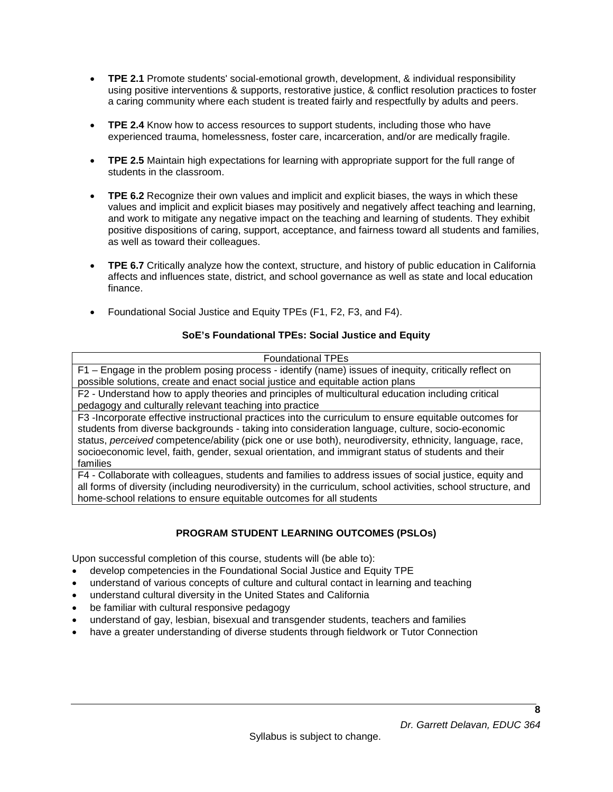- **TPE 2.1** Promote students' social-emotional growth, development, & individual responsibility using positive interventions & supports, restorative justice, & conflict resolution practices to foster a caring community where each student is treated fairly and respectfully by adults and peers.
- **TPE 2.4** Know how to access resources to support students, including those who have experienced trauma, homelessness, foster care, incarceration, and/or are medically fragile.
- **TPE 2.5** Maintain high expectations for learning with appropriate support for the full range of students in the classroom.
- **TPE 6.2** Recognize their own values and implicit and explicit biases, the ways in which these values and implicit and explicit biases may positively and negatively affect teaching and learning, and work to mitigate any negative impact on the teaching and learning of students. They exhibit positive dispositions of caring, support, acceptance, and fairness toward all students and families, as well as toward their colleagues.
- **TPE 6.7** Critically analyze how the context, structure, and history of public education in California affects and influences state, district, and school governance as well as state and local education finance.
- Foundational Social Justice and Equity TPEs (F1, F2, F3, and F4).

## **SoE's Foundational TPEs: Social Justice and Equity**

| <b>Foundational TPEs</b>                                                                                      |
|---------------------------------------------------------------------------------------------------------------|
| F1 – Engage in the problem posing process - identify (name) issues of inequity, critically reflect on         |
| possible solutions, create and enact social justice and equitable action plans                                |
| F2 - Understand how to apply theories and principles of multicultural education including critical            |
| pedagogy and culturally relevant teaching into practice                                                       |
| F3-Incorporate effective instructional practices into the curriculum to ensure equitable outcomes for         |
| students from diverse backgrounds - taking into consideration language, culture, socio-economic               |
| status, perceived competence/ability (pick one or use both), neurodiversity, ethnicity, language, race,       |
| socioeconomic level, faith, gender, sexual orientation, and immigrant status of students and their            |
| families                                                                                                      |
| F4 - Collaborate with colleagues, students and families to address issues of social justice, equity and       |
| all forms of diversity (including neurodiversity) in the curriculum, school activities, school structure, and |
| home-school relations to ensure equitable outcomes for all students                                           |

# **PROGRAM STUDENT LEARNING OUTCOMES (PSLOs)**

<span id="page-7-0"></span>Upon successful completion of this course, students will (be able to):

- develop competencies in the Foundational Social Justice and Equity TPE
- understand of various concepts of culture and cultural contact in learning and teaching
- understand cultural diversity in the United States and California
- be familiar with cultural responsive pedagogy
- understand of gay, lesbian, bisexual and transgender students, teachers and families
- <span id="page-7-1"></span>• have a greater understanding of diverse students through fieldwork or Tutor Connection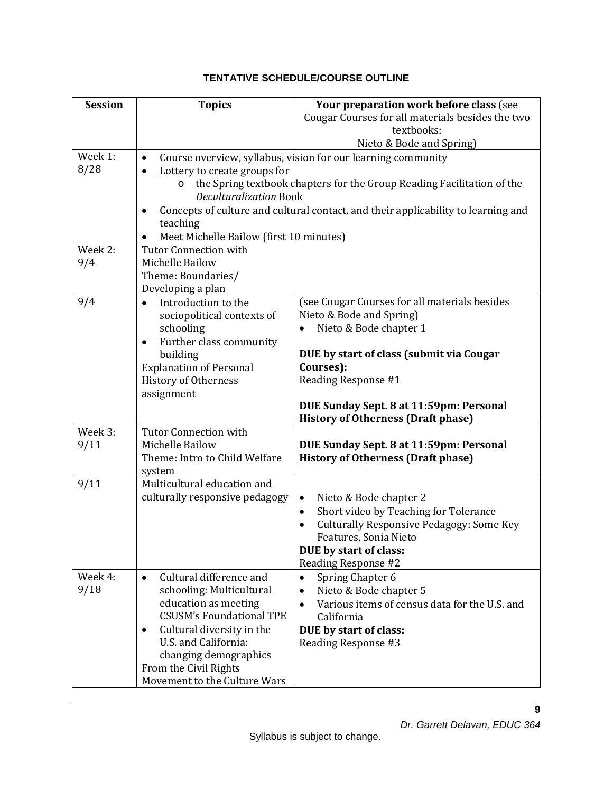# **TENTATIVE SCHEDULE/COURSE OUTLINE**

| <b>Session</b> | <b>Topics</b>                                                 | Your preparation work before class (see<br>Cougar Courses for all materials besides the two<br>textbooks: |  |  |
|----------------|---------------------------------------------------------------|-----------------------------------------------------------------------------------------------------------|--|--|
|                |                                                               | Nieto & Bode and Spring)                                                                                  |  |  |
| Week 1:        | $\bullet$                                                     | Course overview, syllabus, vision for our learning community                                              |  |  |
| 8/28           | Lottery to create groups for                                  |                                                                                                           |  |  |
|                |                                                               | the Spring textbook chapters for the Group Reading Facilitation of the                                    |  |  |
|                | <b>Deculturalization Book</b>                                 |                                                                                                           |  |  |
|                | $\bullet$                                                     | Concepts of culture and cultural contact, and their applicability to learning and                         |  |  |
|                | teaching                                                      |                                                                                                           |  |  |
|                | Meet Michelle Bailow (first 10 minutes)                       |                                                                                                           |  |  |
| Week 2:        | <b>Tutor Connection with</b>                                  |                                                                                                           |  |  |
| 9/4            | Michelle Bailow                                               |                                                                                                           |  |  |
|                | Theme: Boundaries/                                            |                                                                                                           |  |  |
|                | Developing a plan                                             |                                                                                                           |  |  |
| 9/4            | Introduction to the<br>$\bullet$                              | (see Cougar Courses for all materials besides                                                             |  |  |
|                | sociopolitical contexts of                                    | Nieto & Bode and Spring)                                                                                  |  |  |
|                | schooling                                                     | Nieto & Bode chapter 1                                                                                    |  |  |
|                | Further class community<br>٠                                  |                                                                                                           |  |  |
|                | building                                                      | DUE by start of class (submit via Cougar<br>Courses):                                                     |  |  |
|                | <b>Explanation of Personal</b><br><b>History of Otherness</b> | Reading Response #1                                                                                       |  |  |
|                | assignment                                                    |                                                                                                           |  |  |
|                |                                                               | DUE Sunday Sept. 8 at 11:59pm: Personal                                                                   |  |  |
|                |                                                               | <b>History of Otherness (Draft phase)</b>                                                                 |  |  |
| Week 3:        | <b>Tutor Connection with</b>                                  |                                                                                                           |  |  |
| 9/11           | Michelle Bailow                                               | DUE Sunday Sept. 8 at 11:59pm: Personal                                                                   |  |  |
|                | Theme: Intro to Child Welfare                                 | <b>History of Otherness (Draft phase)</b>                                                                 |  |  |
|                | system                                                        |                                                                                                           |  |  |
| 9/11           | Multicultural education and                                   |                                                                                                           |  |  |
|                | culturally responsive pedagogy                                | Nieto & Bode chapter 2<br>٠                                                                               |  |  |
|                |                                                               | Short video by Teaching for Tolerance<br>$\bullet$                                                        |  |  |
|                |                                                               | Culturally Responsive Pedagogy: Some Key                                                                  |  |  |
|                |                                                               | Features, Sonia Nieto                                                                                     |  |  |
|                |                                                               | DUE by start of class:                                                                                    |  |  |
|                |                                                               | Reading Response #2                                                                                       |  |  |
| Week 4:        | Cultural difference and<br>$\bullet$                          | Spring Chapter 6<br>$\bullet$                                                                             |  |  |
| 9/18           | schooling: Multicultural                                      | Nieto & Bode chapter 5<br>$\bullet$                                                                       |  |  |
|                | education as meeting                                          | Various items of census data for the U.S. and                                                             |  |  |
|                | <b>CSUSM's Foundational TPE</b>                               | California                                                                                                |  |  |
|                | Cultural diversity in the<br>٠                                | DUE by start of class:                                                                                    |  |  |
|                | U.S. and California:                                          | Reading Response #3                                                                                       |  |  |
|                | changing demographics                                         |                                                                                                           |  |  |
|                | From the Civil Rights                                         |                                                                                                           |  |  |
|                | Movement to the Culture Wars                                  |                                                                                                           |  |  |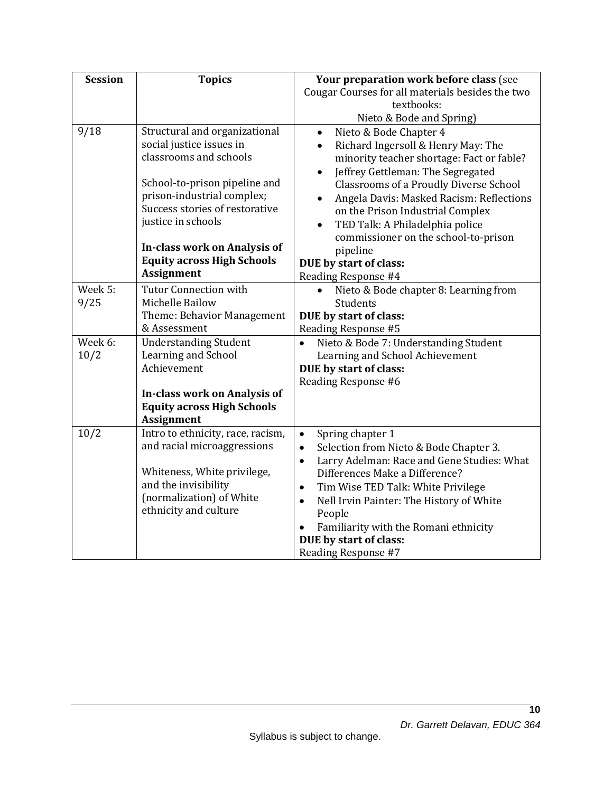| <b>Session</b> | <b>Topics</b>                                          | Your preparation work before class (see                                                         |  |  |
|----------------|--------------------------------------------------------|-------------------------------------------------------------------------------------------------|--|--|
|                |                                                        | Cougar Courses for all materials besides the two                                                |  |  |
|                |                                                        | textbooks:                                                                                      |  |  |
|                |                                                        | Nieto & Bode and Spring)                                                                        |  |  |
| 9/18           | Structural and organizational                          | Nieto & Bode Chapter 4<br>$\bullet$                                                             |  |  |
|                | social justice issues in                               | Richard Ingersoll & Henry May: The<br>$\bullet$                                                 |  |  |
|                | classrooms and schools                                 | minority teacher shortage: Fact or fable?                                                       |  |  |
|                | School-to-prison pipeline and                          | Jeffrey Gettleman: The Segregated<br>$\bullet$<br><b>Classrooms of a Proudly Diverse School</b> |  |  |
|                | prison-industrial complex;                             | Angela Davis: Masked Racism: Reflections<br>$\bullet$                                           |  |  |
|                | Success stories of restorative                         | on the Prison Industrial Complex                                                                |  |  |
|                | justice in schools                                     | TED Talk: A Philadelphia police<br>$\bullet$                                                    |  |  |
|                |                                                        | commissioner on the school-to-prison                                                            |  |  |
|                | In-class work on Analysis of                           | pipeline                                                                                        |  |  |
|                | <b>Equity across High Schools</b>                      | DUE by start of class:                                                                          |  |  |
|                | <b>Assignment</b>                                      | Reading Response #4                                                                             |  |  |
| Week 5:        | <b>Tutor Connection with</b>                           | Nieto & Bode chapter 8: Learning from                                                           |  |  |
| 9/25           | Michelle Bailow                                        | Students                                                                                        |  |  |
|                | Theme: Behavior Management                             | DUE by start of class:                                                                          |  |  |
|                | & Assessment                                           | Reading Response #5                                                                             |  |  |
| Week 6:        | <b>Understanding Student</b>                           | Nieto & Bode 7: Understanding Student<br>$\bullet$                                              |  |  |
| 10/2           | Learning and School                                    | Learning and School Achievement                                                                 |  |  |
|                | Achievement                                            | DUE by start of class:                                                                          |  |  |
|                |                                                        | Reading Response #6                                                                             |  |  |
|                | In-class work on Analysis of                           |                                                                                                 |  |  |
|                | <b>Equity across High Schools</b><br><b>Assignment</b> |                                                                                                 |  |  |
| 10/2           | Intro to ethnicity, race, racism,                      | Spring chapter 1<br>$\bullet$                                                                   |  |  |
|                | and racial microaggressions                            | Selection from Nieto & Bode Chapter 3.<br>$\bullet$                                             |  |  |
|                |                                                        | Larry Adelman: Race and Gene Studies: What<br>$\bullet$                                         |  |  |
|                | Whiteness, White privilege,                            | Differences Make a Difference?                                                                  |  |  |
|                | and the invisibility                                   | Tim Wise TED Talk: White Privilege<br>$\bullet$                                                 |  |  |
|                | (normalization) of White                               | Nell Irvin Painter: The History of White<br>$\bullet$                                           |  |  |
|                | ethnicity and culture                                  | People                                                                                          |  |  |
|                |                                                        | Familiarity with the Romani ethnicity                                                           |  |  |
|                |                                                        | DUE by start of class:                                                                          |  |  |
|                |                                                        | Reading Response #7                                                                             |  |  |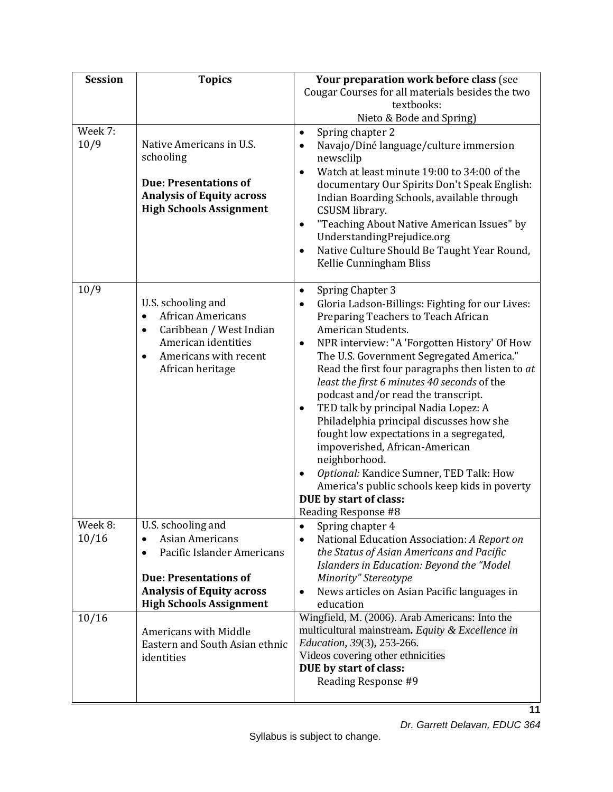| <b>Session</b>  | <b>Topics</b>                                                                                                                                                                 | Your preparation work before class (see                                                                                                                                                                                                                                                                                                                                                                                                                                                                                                                                                                                                                                                                                                                                 |
|-----------------|-------------------------------------------------------------------------------------------------------------------------------------------------------------------------------|-------------------------------------------------------------------------------------------------------------------------------------------------------------------------------------------------------------------------------------------------------------------------------------------------------------------------------------------------------------------------------------------------------------------------------------------------------------------------------------------------------------------------------------------------------------------------------------------------------------------------------------------------------------------------------------------------------------------------------------------------------------------------|
|                 |                                                                                                                                                                               | Cougar Courses for all materials besides the two                                                                                                                                                                                                                                                                                                                                                                                                                                                                                                                                                                                                                                                                                                                        |
|                 |                                                                                                                                                                               | textbooks:                                                                                                                                                                                                                                                                                                                                                                                                                                                                                                                                                                                                                                                                                                                                                              |
|                 |                                                                                                                                                                               | Nieto & Bode and Spring)                                                                                                                                                                                                                                                                                                                                                                                                                                                                                                                                                                                                                                                                                                                                                |
| Week 7:<br>10/9 | Native Americans in U.S.<br>schooling<br><b>Due: Presentations of</b><br><b>Analysis of Equity across</b>                                                                     | Spring chapter 2<br>$\bullet$<br>Navajo/Diné language/culture immersion<br>$\bullet$<br>newsclilp<br>Watch at least minute 19:00 to 34:00 of the<br>$\bullet$<br>documentary Our Spirits Don't Speak English:<br>Indian Boarding Schools, available through                                                                                                                                                                                                                                                                                                                                                                                                                                                                                                             |
|                 | <b>High Schools Assignment</b>                                                                                                                                                | CSUSM library.<br>"Teaching About Native American Issues" by<br>$\bullet$<br>UnderstandingPrejudice.org<br>Native Culture Should Be Taught Year Round,<br>$\bullet$<br>Kellie Cunningham Bliss                                                                                                                                                                                                                                                                                                                                                                                                                                                                                                                                                                          |
| 10/9            | U.S. schooling and<br>African Americans<br>$\bullet$<br>Caribbean / West Indian<br>$\bullet$<br>American identities<br>Americans with recent<br>$\bullet$<br>African heritage | Spring Chapter 3<br>$\bullet$<br>Gloria Ladson-Billings: Fighting for our Lives:<br>$\bullet$<br>Preparing Teachers to Teach African<br>American Students.<br>NPR interview: "A 'Forgotten History' Of How<br>$\bullet$<br>The U.S. Government Segregated America."<br>Read the first four paragraphs then listen to at<br>least the first 6 minutes 40 seconds of the<br>podcast and/or read the transcript.<br>TED talk by principal Nadia Lopez: A<br>$\bullet$<br>Philadelphia principal discusses how she<br>fought low expectations in a segregated,<br>impoverished, African-American<br>neighborhood.<br>Optional: Kandice Sumner, TED Talk: How<br>$\bullet$<br>America's public schools keep kids in poverty<br>DUE by start of class:<br>Reading Response #8 |
| Week 8:         | U.S. schooling and                                                                                                                                                            | Spring chapter 4                                                                                                                                                                                                                                                                                                                                                                                                                                                                                                                                                                                                                                                                                                                                                        |
| 10/16           | <b>Asian Americans</b><br>Pacific Islander Americans                                                                                                                          | National Education Association: A Report on<br>$\bullet$<br>the Status of Asian Americans and Pacific<br>Islanders in Education: Beyond the "Model                                                                                                                                                                                                                                                                                                                                                                                                                                                                                                                                                                                                                      |
|                 | <b>Due: Presentations of</b>                                                                                                                                                  | Minority" Stereotype                                                                                                                                                                                                                                                                                                                                                                                                                                                                                                                                                                                                                                                                                                                                                    |
|                 | <b>Analysis of Equity across</b>                                                                                                                                              | News articles on Asian Pacific languages in<br>$\bullet$                                                                                                                                                                                                                                                                                                                                                                                                                                                                                                                                                                                                                                                                                                                |
|                 | <b>High Schools Assignment</b>                                                                                                                                                | education                                                                                                                                                                                                                                                                                                                                                                                                                                                                                                                                                                                                                                                                                                                                                               |
| 10/16           | Americans with Middle<br>Eastern and South Asian ethnic<br>identities                                                                                                         | Wingfield, M. (2006). Arab Americans: Into the<br>multicultural mainstream. Equity & Excellence in<br>Education, 39(3), 253-266.<br>Videos covering other ethnicities<br>DUE by start of class:<br>Reading Response #9                                                                                                                                                                                                                                                                                                                                                                                                                                                                                                                                                  |
|                 |                                                                                                                                                                               | 11                                                                                                                                                                                                                                                                                                                                                                                                                                                                                                                                                                                                                                                                                                                                                                      |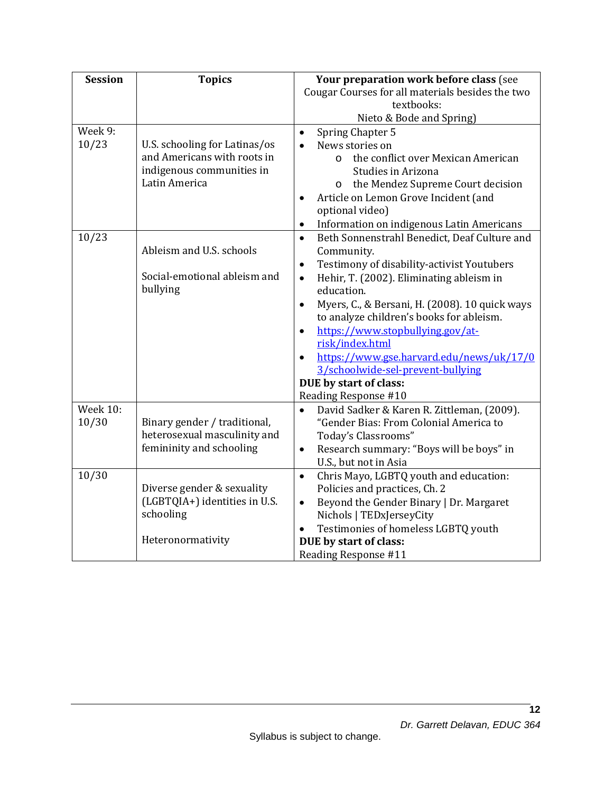| <b>Session</b>  | <b>Topics</b>                 | Your preparation work before class (see                     |  |  |
|-----------------|-------------------------------|-------------------------------------------------------------|--|--|
|                 |                               | Cougar Courses for all materials besides the two            |  |  |
|                 |                               | textbooks:                                                  |  |  |
|                 |                               | Nieto & Bode and Spring)                                    |  |  |
| Week 9:         |                               | Spring Chapter 5<br>$\bullet$                               |  |  |
| 10/23           | U.S. schooling for Latinas/os | News stories on<br>$\bullet$                                |  |  |
|                 | and Americans with roots in   | the conflict over Mexican American<br>$\circ$               |  |  |
|                 | indigenous communities in     | Studies in Arizona                                          |  |  |
|                 | Latin America                 | the Mendez Supreme Court decision<br>$\circ$                |  |  |
|                 |                               | Article on Lemon Grove Incident (and<br>$\bullet$           |  |  |
|                 |                               | optional video)                                             |  |  |
|                 |                               | Information on indigenous Latin Americans<br>$\bullet$      |  |  |
| 10/23           |                               | Beth Sonnenstrahl Benedict, Deaf Culture and<br>$\bullet$   |  |  |
|                 | Ableism and U.S. schools      | Community.                                                  |  |  |
|                 |                               | Testimony of disability-activist Youtubers<br>$\bullet$     |  |  |
|                 | Social-emotional ableism and  | Hehir, T. (2002). Eliminating ableism in<br>$\bullet$       |  |  |
|                 | bullying                      | education.                                                  |  |  |
|                 |                               | Myers, C., & Bersani, H. (2008). 10 quick ways<br>$\bullet$ |  |  |
|                 |                               | to analyze children's books for ableism.                    |  |  |
|                 |                               | https://www.stopbullying.gov/at-<br>$\bullet$               |  |  |
|                 |                               | risk/index.html                                             |  |  |
|                 |                               | https://www.gse.harvard.edu/news/uk/17/0<br>$\bullet$       |  |  |
|                 |                               | 3/schoolwide-sel-prevent-bullying                           |  |  |
|                 |                               | DUE by start of class:                                      |  |  |
|                 |                               | Reading Response #10                                        |  |  |
| <b>Week 10:</b> |                               | David Sadker & Karen R. Zittleman, (2009).<br>$\bullet$     |  |  |
| 10/30           | Binary gender / traditional,  | "Gender Bias: From Colonial America to                      |  |  |
|                 | heterosexual masculinity and  | Today's Classrooms"                                         |  |  |
|                 | femininity and schooling      | Research summary: "Boys will be boys" in<br>$\bullet$       |  |  |
|                 |                               | U.S., but not in Asia                                       |  |  |
| 10/30           |                               | Chris Mayo, LGBTQ youth and education:<br>$\bullet$         |  |  |
|                 | Diverse gender & sexuality    | Policies and practices, Ch. 2                               |  |  |
|                 | (LGBTQIA+) identities in U.S. | Beyond the Gender Binary   Dr. Margaret<br>$\bullet$        |  |  |
|                 | schooling                     | Nichols   TEDxJerseyCity                                    |  |  |
|                 |                               | Testimonies of homeless LGBTQ youth                         |  |  |
|                 | Heteronormativity             | DUE by start of class:                                      |  |  |
|                 |                               | Reading Response #11                                        |  |  |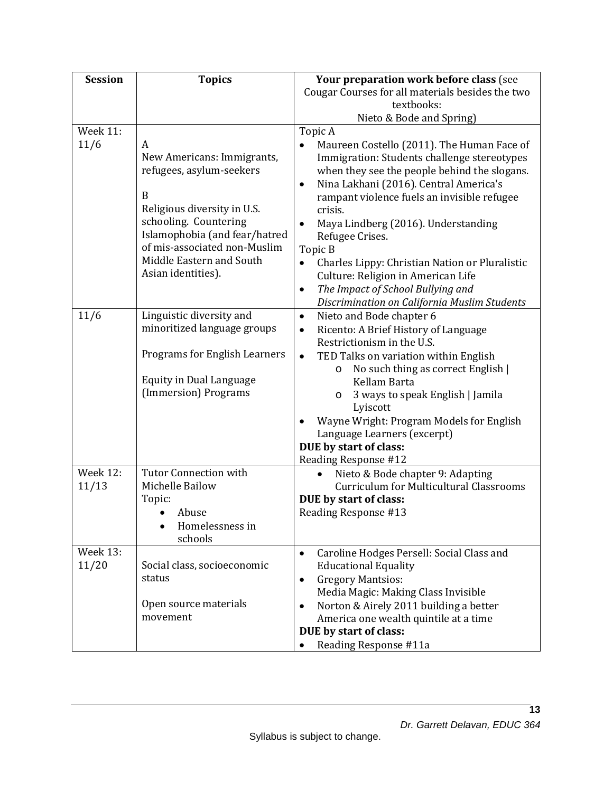| <b>Session</b>           | <b>Topics</b>                                                                                                                                                                                                                               | Your preparation work before class (see                                                                                                                                                                                                                                                                                                                                                                                                                                                                                                             |  |  |
|--------------------------|---------------------------------------------------------------------------------------------------------------------------------------------------------------------------------------------------------------------------------------------|-----------------------------------------------------------------------------------------------------------------------------------------------------------------------------------------------------------------------------------------------------------------------------------------------------------------------------------------------------------------------------------------------------------------------------------------------------------------------------------------------------------------------------------------------------|--|--|
|                          |                                                                                                                                                                                                                                             | Cougar Courses for all materials besides the two                                                                                                                                                                                                                                                                                                                                                                                                                                                                                                    |  |  |
|                          |                                                                                                                                                                                                                                             | textbooks:                                                                                                                                                                                                                                                                                                                                                                                                                                                                                                                                          |  |  |
|                          |                                                                                                                                                                                                                                             | Nieto & Bode and Spring)                                                                                                                                                                                                                                                                                                                                                                                                                                                                                                                            |  |  |
| <b>Week 11:</b>          |                                                                                                                                                                                                                                             | Topic A                                                                                                                                                                                                                                                                                                                                                                                                                                                                                                                                             |  |  |
| 11/6                     | A<br>New Americans: Immigrants,<br>refugees, asylum-seekers<br>B<br>Religious diversity in U.S.<br>schooling. Countering<br>Islamophobia (and fear/hatred<br>of mis-associated non-Muslim<br>Middle Eastern and South<br>Asian identities). | Maureen Costello (2011). The Human Face of<br>Immigration: Students challenge stereotypes<br>when they see the people behind the slogans.<br>Nina Lakhani (2016). Central America's<br>$\bullet$<br>rampant violence fuels an invisible refugee<br>crisis.<br>Maya Lindberg (2016). Understanding<br>$\bullet$<br>Refugee Crises.<br>Topic B<br>Charles Lippy: Christian Nation or Pluralistic<br>$\bullet$<br>Culture: Religion in American Life<br>The Impact of School Bullying and<br>$\bullet$<br>Discrimination on California Muslim Students |  |  |
| 11/6                     | Linguistic diversity and<br>minoritized language groups<br><b>Programs for English Learners</b><br><b>Equity in Dual Language</b><br>(Immersion) Programs                                                                                   | Nieto and Bode chapter 6<br>$\bullet$<br>Ricento: A Brief History of Language<br>$\bullet$<br>Restrictionism in the U.S.<br>TED Talks on variation within English<br>$\bullet$<br>No such thing as correct English  <br>O<br>Kellam Barta<br>3 ways to speak English   Jamila<br>$\circ$<br>Lyiscott<br>Wayne Wright: Program Models for English<br>Language Learners (excerpt)<br>DUE by start of class:<br>Reading Response #12                                                                                                                   |  |  |
| <b>Week 12:</b><br>11/13 | <b>Tutor Connection with</b><br>Michelle Bailow<br>Topic:<br>Abuse<br>Homelessness in<br>schools                                                                                                                                            | Nieto & Bode chapter 9: Adapting<br>$\bullet$<br><b>Curriculum for Multicultural Classrooms</b><br>DUE by start of class:<br>Reading Response #13                                                                                                                                                                                                                                                                                                                                                                                                   |  |  |
| <b>Week 13:</b><br>11/20 | Social class, socioeconomic<br>status<br>Open source materials<br>movement                                                                                                                                                                  | Caroline Hodges Persell: Social Class and<br>$\bullet$<br><b>Educational Equality</b><br><b>Gregory Mantsios:</b><br>$\bullet$<br>Media Magic: Making Class Invisible<br>Norton & Airely 2011 building a better<br>$\bullet$<br>America one wealth quintile at a time<br>DUE by start of class:<br>Reading Response #11a                                                                                                                                                                                                                            |  |  |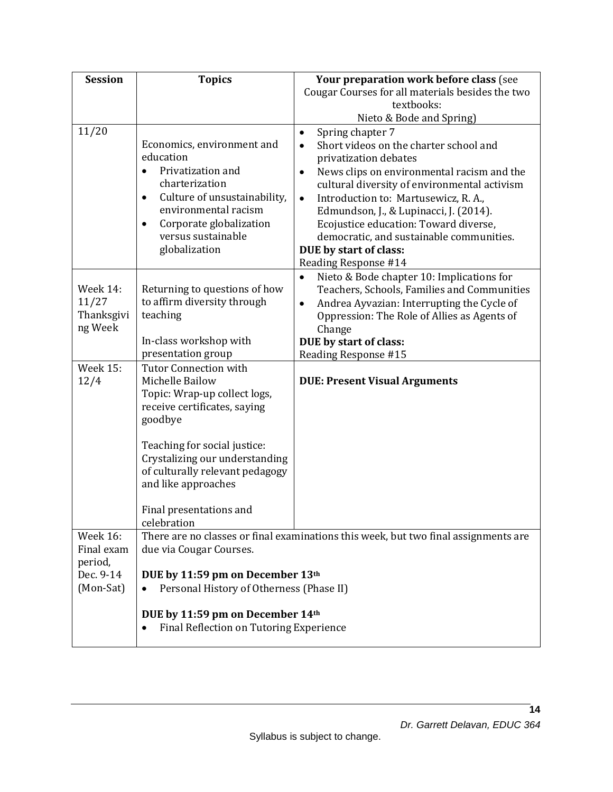| <b>Session</b>  | <b>Topics</b>                                                     | Your preparation work before class (see                                             |  |
|-----------------|-------------------------------------------------------------------|-------------------------------------------------------------------------------------|--|
|                 |                                                                   | Cougar Courses for all materials besides the two                                    |  |
|                 |                                                                   | textbooks:                                                                          |  |
|                 |                                                                   | Nieto & Bode and Spring)                                                            |  |
| 11/20           |                                                                   | Spring chapter 7<br>$\bullet$                                                       |  |
|                 | Economics, environment and                                        | Short videos on the charter school and<br>$\bullet$                                 |  |
|                 | education                                                         | privatization debates                                                               |  |
|                 | Privatization and                                                 | News clips on environmental racism and the<br>$\bullet$                             |  |
|                 | charterization                                                    | cultural diversity of environmental activism                                        |  |
|                 | Culture of unsustainability,<br>$\bullet$<br>environmental racism | Introduction to: Martusewicz, R. A.,<br>$\bullet$                                   |  |
|                 | $\bullet$                                                         | Edmundson, J., & Lupinacci, J. (2014).                                              |  |
|                 | Corporate globalization<br>versus sustainable                     | Ecojustice education: Toward diverse,<br>democratic, and sustainable communities.   |  |
|                 | globalization                                                     | DUE by start of class:                                                              |  |
|                 |                                                                   | Reading Response #14                                                                |  |
|                 |                                                                   | Nieto & Bode chapter 10: Implications for<br>$\bullet$                              |  |
| Week 14:        | Returning to questions of how                                     | Teachers, Schools, Families and Communities                                         |  |
| 11/27           | to affirm diversity through                                       | Andrea Ayvazian: Interrupting the Cycle of<br>$\bullet$                             |  |
| Thanksgivi      | teaching                                                          | Oppression: The Role of Allies as Agents of                                         |  |
| ng Week         |                                                                   | Change                                                                              |  |
|                 | In-class workshop with                                            | DUE by start of class:                                                              |  |
|                 | presentation group                                                | Reading Response #15                                                                |  |
| <b>Week 15:</b> | <b>Tutor Connection with</b>                                      |                                                                                     |  |
| 12/4            | Michelle Bailow                                                   | <b>DUE: Present Visual Arguments</b>                                                |  |
|                 | Topic: Wrap-up collect logs,                                      |                                                                                     |  |
|                 | receive certificates, saying                                      |                                                                                     |  |
|                 | goodbye                                                           |                                                                                     |  |
|                 |                                                                   |                                                                                     |  |
|                 | Teaching for social justice:<br>Crystalizing our understanding    |                                                                                     |  |
|                 | of culturally relevant pedagogy                                   |                                                                                     |  |
|                 | and like approaches                                               |                                                                                     |  |
|                 |                                                                   |                                                                                     |  |
|                 | Final presentations and                                           |                                                                                     |  |
|                 | celebration                                                       |                                                                                     |  |
| <b>Week 16:</b> |                                                                   | There are no classes or final examinations this week, but two final assignments are |  |
| Final exam      | due via Cougar Courses.                                           |                                                                                     |  |
| period,         |                                                                   |                                                                                     |  |
| Dec. 9-14       | DUE by 11:59 pm on December 13th                                  |                                                                                     |  |
| (Mon-Sat)       | Personal History of Otherness (Phase II)                          |                                                                                     |  |
|                 |                                                                   |                                                                                     |  |
|                 | DUE by 11:59 pm on December 14th                                  |                                                                                     |  |
|                 | Final Reflection on Tutoring Experience                           |                                                                                     |  |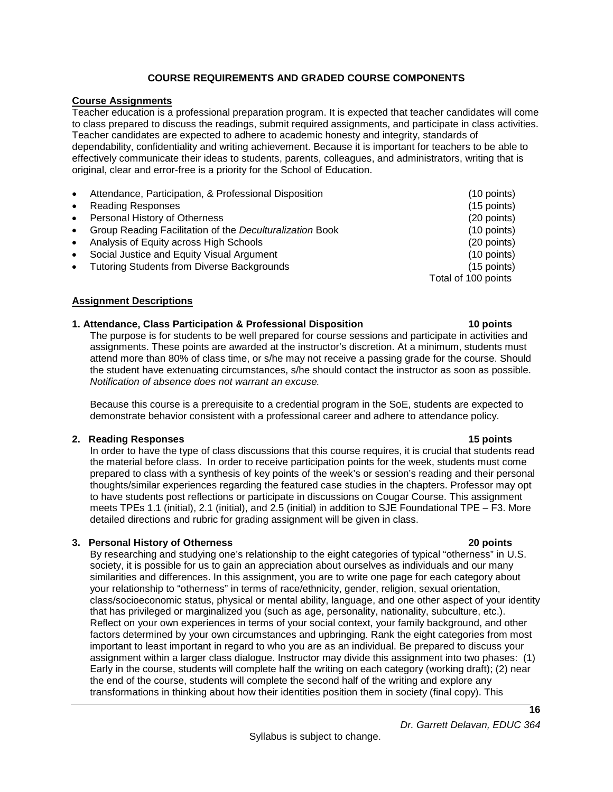## **COURSE REQUIREMENTS AND GRADED COURSE COMPONENTS**

### <span id="page-15-0"></span>**Course Assignments**

Teacher education is a professional preparation program. It is expected that teacher candidates will come to class prepared to discuss the readings, submit required assignments, and participate in class activities. Teacher candidates are expected to adhere to academic honesty and integrity, standards of dependability, confidentiality and writing achievement. Because it is important for teachers to be able to effectively communicate their ideas to students, parents, colleagues, and administrators, writing that is original, clear and error-free is a priority for the School of Education.

| $\bullet$ | Attendance, Participation, & Professional Disposition    | $(10$ points)       |
|-----------|----------------------------------------------------------|---------------------|
| $\bullet$ | <b>Reading Responses</b>                                 | $(15$ points)       |
| $\bullet$ | Personal History of Otherness                            | (20 points)         |
| $\bullet$ | Group Reading Facilitation of the Deculturalization Book | $(10$ points)       |
| $\bullet$ | Analysis of Equity across High Schools                   | (20 points)         |
| $\bullet$ | Social Justice and Equity Visual Argument                | $(10$ points)       |
| $\bullet$ | <b>Tutoring Students from Diverse Backgrounds</b>        | $(15$ points)       |
|           |                                                          | Total of 100 points |
|           |                                                          |                     |

#### <span id="page-15-1"></span>**Assignment Descriptions**

#### **1. Attendance, Class Participation & Professional Disposition 10 points**

The purpose is for students to be well prepared for course sessions and participate in activities and assignments. These points are awarded at the instructor's discretion. At a minimum, students must attend more than 80% of class time, or s/he may not receive a passing grade for the course. Should the student have extenuating circumstances, s/he should contact the instructor as soon as possible. *Notification of absence does not warrant an excuse.*

Because this course is a prerequisite to a credential program in the SoE, students are expected to demonstrate behavior consistent with a professional career and adhere to attendance policy.

#### **2. Reading Responses 15 points**

In order to have the type of class discussions that this course requires, it is crucial that students read the material before class. In order to receive participation points for the week, students must come prepared to class with a synthesis of key points of the week's or session's reading and their personal thoughts/similar experiences regarding the featured case studies in the chapters. Professor may opt to have students post reflections or participate in discussions on Cougar Course. This assignment meets TPEs 1.1 (initial), 2.1 (initial), and 2.5 (initial) in addition to SJE Foundational TPE – F3. More detailed directions and rubric for grading assignment will be given in class.

#### **3. Personal History of Otherness 20 points**

By researching and studying one's relationship to the eight categories of typical "otherness" in U.S. society, it is possible for us to gain an appreciation about ourselves as individuals and our many similarities and differences. In this assignment, you are to write one page for each category about your relationship to "otherness" in terms of race/ethnicity, gender, religion, sexual orientation, class/socioeconomic status, physical or mental ability, language, and one other aspect of your identity that has privileged or marginalized you (such as age, personality, nationality, subculture, etc.). Reflect on your own experiences in terms of your social context, your family background, and other factors determined by your own circumstances and upbringing. Rank the eight categories from most important to least important in regard to who you are as an individual. Be prepared to discuss your assignment within a larger class dialogue. Instructor may divide this assignment into two phases: (1) Early in the course, students will complete half the writing on each category (working draft); (2) near the end of the course, students will complete the second half of the writing and explore any transformations in thinking about how their identities position them in society (final copy). This

*Dr. Garrett Delavan, EDUC 364*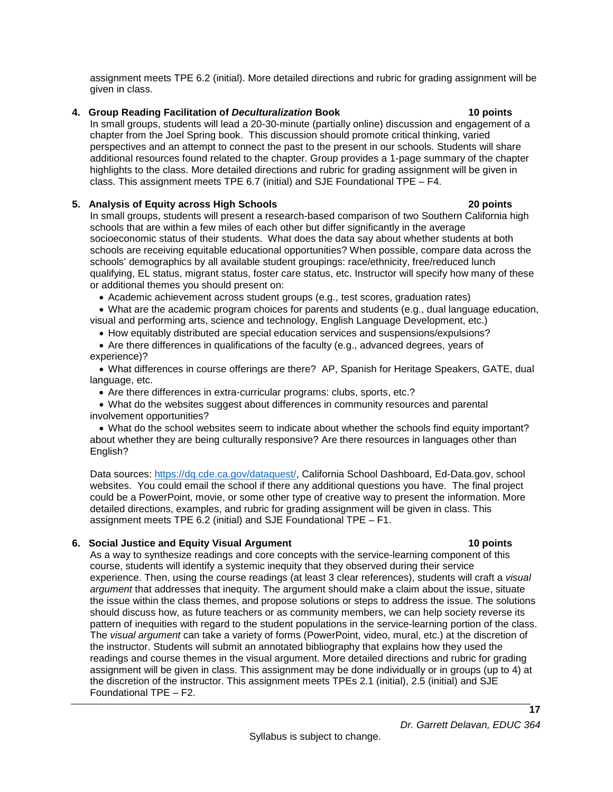**4. Group Reading Facilitation of** *Deculturalization* **Book 10 points**

In small groups, students will lead a 20-30-minute (partially online) discussion and engagement of a chapter from the Joel Spring book. This discussion should promote critical thinking, varied perspectives and an attempt to connect the past to the present in our schools. Students will share additional resources found related to the chapter. Group provides a 1-page summary of the chapter highlights to the class. More detailed directions and rubric for grading assignment will be given in class. This assignment meets TPE 6.7 (initial) and SJE Foundational TPE – F4.

assignment meets TPE 6.2 (initial). More detailed directions and rubric for grading assignment will be

#### **5. Analysis of Equity across High Schools 20 points**

given in class.

#### In small groups, students will present a research-based comparison of two Southern California high schools that are within a few miles of each other but differ significantly in the average socioeconomic status of their students. What does the data say about whether students at both schools are receiving equitable educational opportunities? When possible, compare data across the schools' demographics by all available student groupings: race/ethnicity, free/reduced lunch qualifying, EL status, migrant status, foster care status, etc. Instructor will specify how many of these or additional themes you should present on:

- Academic achievement across student groups (e.g., test scores, graduation rates)
- What are the academic program choices for parents and students (e.g., dual language education, visual and performing arts, science and technology, English Language Development, etc.)
- How equitably distributed are special education services and suspensions/expulsions?
- Are there differences in qualifications of the faculty (e.g., advanced degrees, years of experience)?
- What differences in course offerings are there? AP, Spanish for Heritage Speakers, GATE, dual language, etc.
	- Are there differences in extra-curricular programs: clubs, sports, etc.?
- What do the websites suggest about differences in community resources and parental involvement opportunities?

• What do the school websites seem to indicate about whether the schools find equity important? about whether they are being culturally responsive? Are there resources in languages other than English?

Data sources: [https://dq.cde.ca.gov/dataquest/,](https://dq.cde.ca.gov/dataquest/) California School Dashboard, Ed-Data.gov, school websites. You could email the school if there any additional questions you have. The final project could be a PowerPoint, movie, or some other type of creative way to present the information. More detailed directions, examples, and rubric for grading assignment will be given in class. This assignment meets TPE 6.2 (initial) and SJE Foundational TPE – F1.

## **6. Social Justice and Equity Visual Argument 10 points**

As a way to synthesize readings and core concepts with the service-learning component of this course, students will identify a systemic inequity that they observed during their service experience. Then, using the course readings (at least 3 clear references), students will craft a *visual argument* that addresses that inequity. The argument should make a claim about the issue, situate the issue within the class themes, and propose solutions or steps to address the issue. The solutions should discuss how, as future teachers or as community members, we can help society reverse its pattern of inequities with regard to the student populations in the service-learning portion of the class. The *visual argument* can take a variety of forms (PowerPoint, video, mural, etc.) at the discretion of the instructor. Students will submit an annotated bibliography that explains how they used the readings and course themes in the visual argument. More detailed directions and rubric for grading assignment will be given in class. This assignment may be done individually or in groups (up to 4) at the discretion of the instructor. This assignment meets TPEs 2.1 (initial), 2.5 (initial) and SJE Foundational TPE – F2.

*Dr. Garrett Delavan, EDUC 364*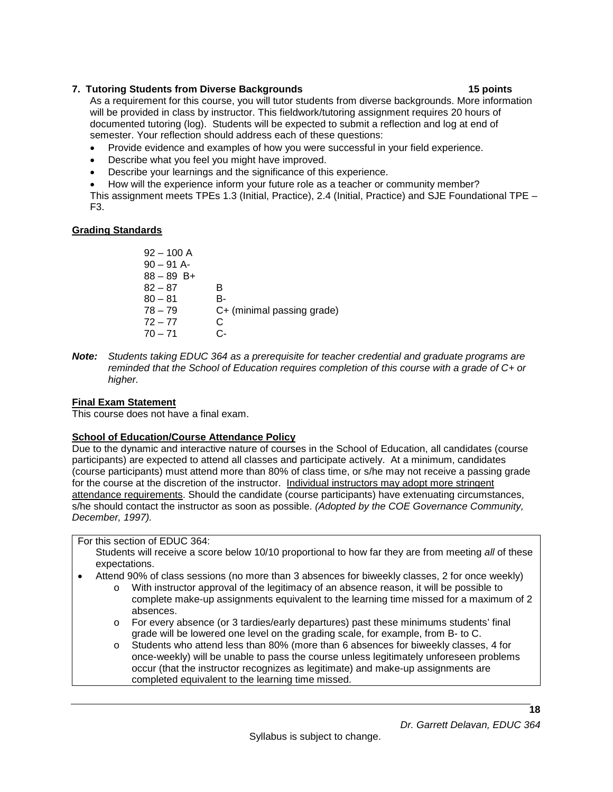## **7. Tutoring Students from Diverse Backgrounds 15 points**

As a requirement for this course, you will tutor students from diverse backgrounds. More information will be provided in class by instructor. This fieldwork/tutoring assignment requires 20 hours of documented tutoring (log). Students will be expected to submit a reflection and log at end of semester. Your reflection should address each of these questions:

- Provide evidence and examples of how you were successful in your field experience.
- Describe what you feel you might have improved.
- Describe your learnings and the significance of this experience.
- How will the experience inform your future role as a teacher or community member?

This assignment meets TPEs 1.3 (Initial, Practice), 2.4 (Initial, Practice) and SJE Foundational TPE – F3.

# <span id="page-17-0"></span>**Grading Standards**

- $92 100$  A  $90 - 91$  A-88 – 89 B+  $82 - 87$  B  $80 - 81$  B-<br> $78 - 79$  C+ C+ (minimal passing grade)  $72 - 77$  C<br> $70 - 71$  C- $70 - 71$
- *Note: Students taking EDUC 364 as a prerequisite for teacher credential and graduate programs are reminded that the School of Education requires completion of this course with a grade of C+ or higher.*

# <span id="page-17-1"></span>**Final Exam Statement**

This course does not have a final exam.

# <span id="page-17-2"></span>**School of Education/Course Attendance Policy**

Due to the dynamic and interactive nature of courses in the School of Education, all candidates (course participants) are expected to attend all classes and participate actively. At a minimum, candidates (course participants) must attend more than 80% of class time, or s/he may not receive a passing grade for the course at the discretion of the instructor. Individual instructors may adopt more stringent attendance requirements. Should the candidate (course participants) have extenuating circumstances, s/he should contact the instructor as soon as possible. *(Adopted by the COE Governance Community, December, 1997).*

For this section of EDUC 364:

Students will receive a score below 10/10 proportional to how far they are from meeting *all* of these expectations.

- Attend 90% of class sessions (no more than 3 absences for biweekly classes, 2 for once weekly)
	- o With instructor approval of the legitimacy of an absence reason, it will be possible to complete make-up assignments equivalent to the learning time missed for a maximum of 2 absences.
	- o For every absence (or 3 tardies/early departures) past these minimums students' final grade will be lowered one level on the grading scale, for example, from B- to C.
	- o Students who attend less than 80% (more than 6 absences for biweekly classes, 4 for once-weekly) will be unable to pass the course unless legitimately unforeseen problems occur (that the instructor recognizes as legitimate) and make-up assignments are completed equivalent to the learning time missed.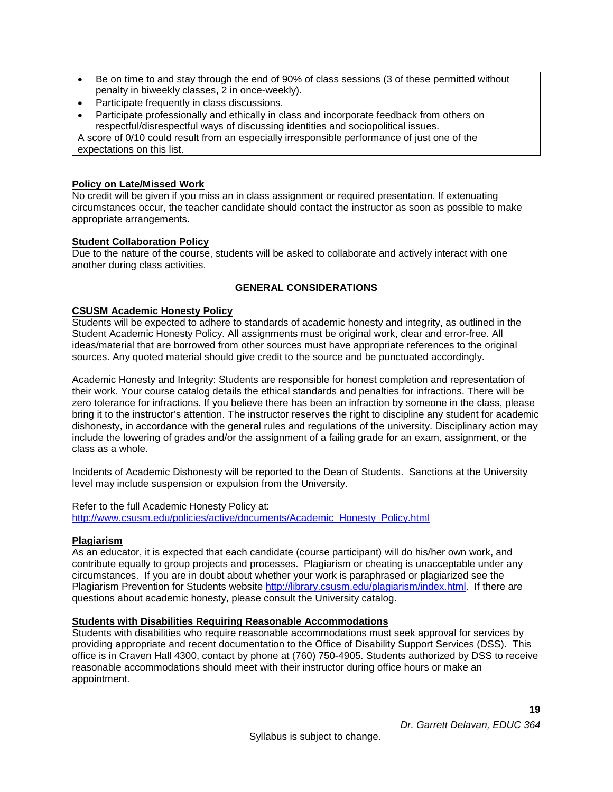- Be on time to and stay through the end of 90% of class sessions (3 of these permitted without penalty in biweekly classes, 2 in once-weekly).
- Participate frequently in class discussions.
- Participate professionally and ethically in class and incorporate feedback from others on respectful/disrespectful ways of discussing identities and sociopolitical issues.

A score of 0/10 could result from an especially irresponsible performance of just one of the expectations on this list.

## <span id="page-18-0"></span>**Policy on Late/Missed Work**

No credit will be given if you miss an in class assignment or required presentation. If extenuating circumstances occur, the teacher candidate should contact the instructor as soon as possible to make appropriate arrangements.

# <span id="page-18-1"></span>**Student Collaboration Policy**

Due to the nature of the course, students will be asked to collaborate and actively interact with one another during class activities.

## **GENERAL CONSIDERATIONS**

## <span id="page-18-3"></span><span id="page-18-2"></span>**CSUSM Academic Honesty Policy**

Students will be expected to adhere to standards of academic honesty and integrity, as outlined in the Student Academic Honesty Policy. All assignments must be original work, clear and error-free. All ideas/material that are borrowed from other sources must have appropriate references to the original sources. Any quoted material should give credit to the source and be punctuated accordingly.

Academic Honesty and Integrity: Students are responsible for honest completion and representation of their work. Your course catalog details the ethical standards and penalties for infractions. There will be zero tolerance for infractions. If you believe there has been an infraction by someone in the class, please bring it to the instructor's attention. The instructor reserves the right to discipline any student for academic dishonesty, in accordance with the general rules and regulations of the university. Disciplinary action may include the lowering of grades and/or the assignment of a failing grade for an exam, assignment, or the class as a whole.

Incidents of Academic Dishonesty will be reported to the Dean of Students. Sanctions at the University level may include suspension or expulsion from the University.

Refer to the full Academic Honesty Policy at:

[http://www.csusm.edu/policies/active/documents/Academic\\_Honesty\\_Policy.html](http://www.csusm.edu/policies/active/documents/Academic_Honesty_Policy.html)

## <span id="page-18-4"></span>**Plagiarism**

As an educator, it is expected that each candidate (course participant) will do his/her own work, and contribute equally to group projects and processes. Plagiarism or cheating is unacceptable under any circumstances. If you are in doubt about whether your work is paraphrased or plagiarized see the Plagiarism Prevention for Students website [http://library.csusm.edu/plagiarism/index.html.](http://library.csusm.edu/plagiarism/index.html) If there are questions about academic honesty, please consult the University catalog.

# **Students with Disabilities Requiring Reasonable Accommodations**

Students with disabilities who require reasonable accommodations must seek approval for services by providing appropriate and recent documentation to the Office of Disability Support Services (DSS). This office is in Craven Hall 4300, contact by phone at (760) 750-4905. Students authorized by DSS to receive reasonable accommodations should meet with their instructor during office hours or make an appointment.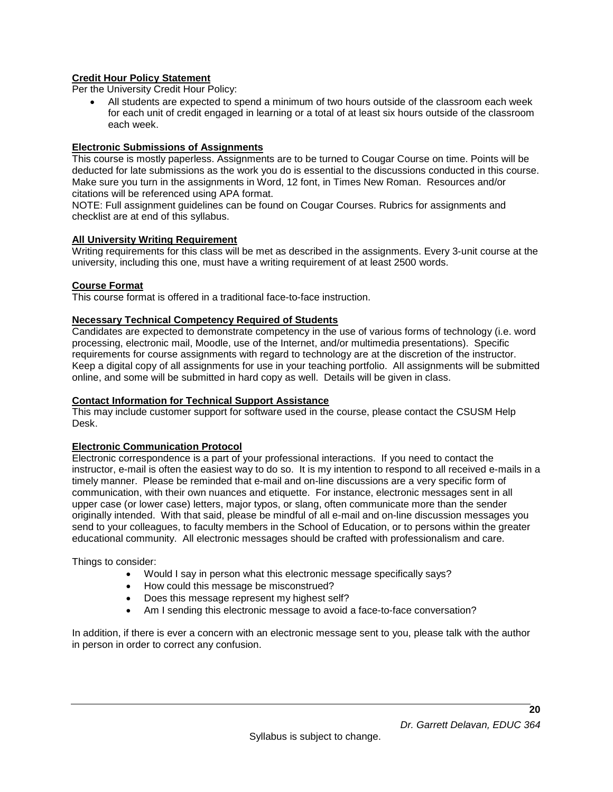## <span id="page-19-0"></span>**Credit Hour Policy Statement**

Per the University Credit Hour Policy:

• All students are expected to spend a minimum of two hours outside of the classroom each week for each unit of credit engaged in learning or a total of at least six hours outside of the classroom each week.

### <span id="page-19-1"></span>**Electronic Submissions of Assignments**

This course is mostly paperless. Assignments are to be turned to Cougar Course on time. Points will be deducted for late submissions as the work you do is essential to the discussions conducted in this course. Make sure you turn in the assignments in Word, 12 font, in Times New Roman. Resources and/or citations will be referenced using APA format.

NOTE: Full assignment guidelines can be found on Cougar Courses. Rubrics for assignments and checklist are at end of this syllabus.

#### <span id="page-19-2"></span>**All University Writing Requirement**

Writing requirements for this class will be met as described in the assignments. Every 3-unit course at the university, including this one, must have a writing requirement of at least 2500 words.

#### <span id="page-19-3"></span>**Course Format**

This course format is offered in a traditional face-to-face instruction.

#### <span id="page-19-4"></span>**Necessary Technical Competency Required of Students**

Candidates are expected to demonstrate competency in the use of various forms of technology (i.e. word processing, electronic mail, Moodle, use of the Internet, and/or multimedia presentations). Specific requirements for course assignments with regard to technology are at the discretion of the instructor. Keep a digital copy of all assignments for use in your teaching portfolio. All assignments will be submitted online, and some will be submitted in hard copy as well. Details will be given in class.

#### <span id="page-19-5"></span>**Contact Information for Technical Support Assistance**

This may include customer support for software used in the course, please contact the CSUSM Help Desk.

#### <span id="page-19-6"></span>**Electronic Communication Protocol**

Electronic correspondence is a part of your professional interactions. If you need to contact the instructor, e-mail is often the easiest way to do so. It is my intention to respond to all received e-mails in a timely manner. Please be reminded that e-mail and on-line discussions are a very specific form of communication, with their own nuances and etiquette. For instance, electronic messages sent in all upper case (or lower case) letters, major typos, or slang, often communicate more than the sender originally intended. With that said, please be mindful of all e-mail and on-line discussion messages you send to your colleagues, to faculty members in the School of Education, or to persons within the greater educational community. All electronic messages should be crafted with professionalism and care.

Things to consider:

- Would I say in person what this electronic message specifically says?
- How could this message be misconstrued?
- Does this message represent my highest self?
- Am I sending this electronic message to avoid a face-to-face conversation?

<span id="page-19-7"></span>In addition, if there is ever a concern with an electronic message sent to you, please talk with the author in person in order to correct any confusion.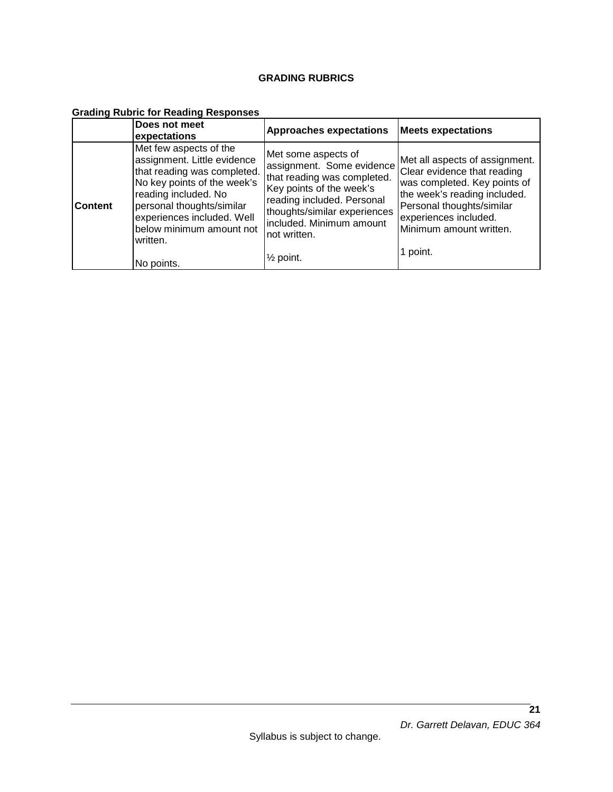## **GRADING RUBRICS**

# **Grading Rubric for Reading Responses**

|                | Does not meet<br>expectations                                                                                                                                                                                                                                | <b>Approaches expectations</b>                                                                                                                                                                                                                | <b>Meets expectations</b>                                                                                                                                                                                                  |
|----------------|--------------------------------------------------------------------------------------------------------------------------------------------------------------------------------------------------------------------------------------------------------------|-----------------------------------------------------------------------------------------------------------------------------------------------------------------------------------------------------------------------------------------------|----------------------------------------------------------------------------------------------------------------------------------------------------------------------------------------------------------------------------|
| <b>Content</b> | Met few aspects of the<br>assignment. Little evidence<br>that reading was completed.<br>No key points of the week's<br>reading included. No<br>personal thoughts/similar<br>experiences included. Well<br>below minimum amount not<br>written.<br>No points. | Met some aspects of<br>assignment. Some evidence<br>that reading was completed.<br>Key points of the week's<br>reading included. Personal<br>thoughts/similar experiences<br>included. Minimum amount<br>not written.<br>$\frac{1}{2}$ point. | Met all aspects of assignment.<br>Clear evidence that reading<br>was completed. Key points of<br>the week's reading included.<br>Personal thoughts/similar<br>experiences included.<br>Minimum amount written.<br>1 point. |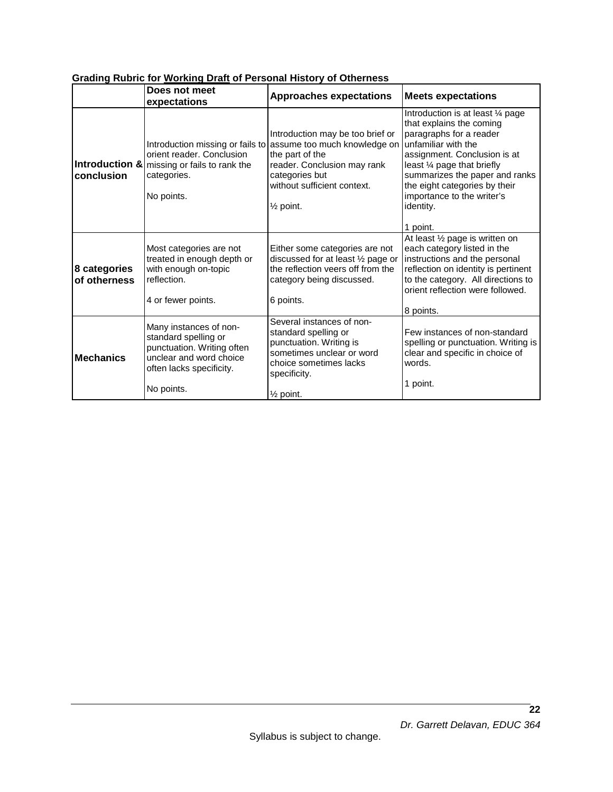|                              | Does not meet<br>expectations                                                                                                                     | <b>Approaches expectations</b>                                                                                                                                                                | <b>Meets expectations</b>                                                                                                                                                                                                                                                                                |
|------------------------------|---------------------------------------------------------------------------------------------------------------------------------------------------|-----------------------------------------------------------------------------------------------------------------------------------------------------------------------------------------------|----------------------------------------------------------------------------------------------------------------------------------------------------------------------------------------------------------------------------------------------------------------------------------------------------------|
| conclusion                   | Introduction missing or fails to<br>orient reader. Conclusion<br>Introduction & missing or fails to rank the<br>categories.<br>No points.         | Introduction may be too brief or<br>assume too much knowledge on<br>the part of the<br>reader. Conclusion may rank<br>categories but<br>without sufficient context.<br>1/ <sub>2</sub> point. | Introduction is at least 1/4 page<br>that explains the coming<br>paragraphs for a reader<br>unfamiliar with the<br>assignment. Conclusion is at<br>least 1/4 page that briefly<br>summarizes the paper and ranks<br>the eight categories by their<br>importance to the writer's<br>identity.<br>1 point. |
| 8 categories<br>of otherness | Most categories are not<br>treated in enough depth or<br>with enough on-topic<br>reflection.<br>4 or fewer points.                                | Either some categories are not<br>discussed for at least 1/2 page or<br>the reflection veers off from the<br>category being discussed.<br>6 points.                                           | At least 1/2 page is written on<br>each category listed in the<br>instructions and the personal<br>reflection on identity is pertinent<br>to the category. All directions to<br>orient reflection were followed.<br>8 points.                                                                            |
| <b>Mechanics</b>             | Many instances of non-<br>standard spelling or<br>punctuation. Writing often<br>unclear and word choice<br>often lacks specificity.<br>No points. | Several instances of non-<br>standard spelling or<br>punctuation. Writing is<br>sometimes unclear or word<br>choice sometimes lacks<br>specificity.<br>$\frac{1}{2}$ point.                   | Few instances of non-standard<br>spelling or punctuation. Writing is<br>clear and specific in choice of<br>words.<br>1 point.                                                                                                                                                                            |

## **Grading Rubric for Working Draft of Personal History of Otherness**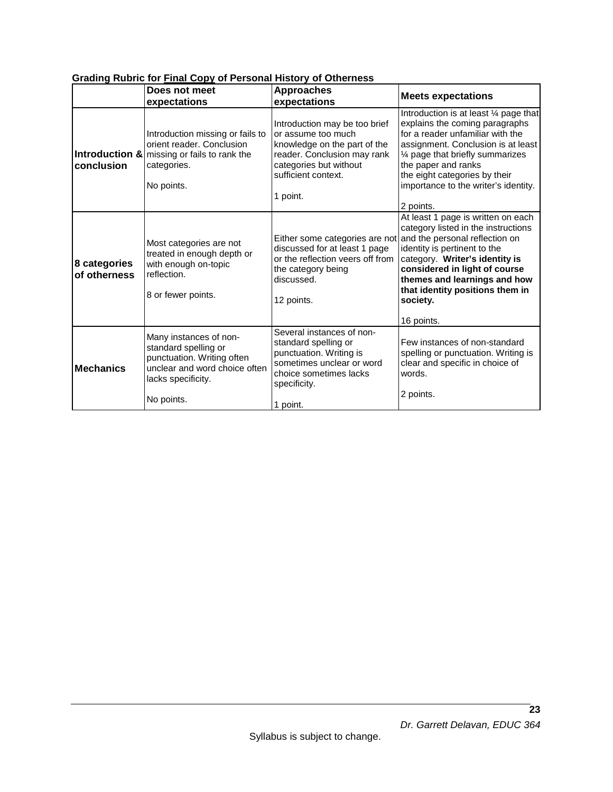|                              | Does not meet<br>expectations                                                                                                                     | <b>Approaches</b><br>expectations                                                                                                                                               | <b>Meets expectations</b>                                                                                                                                                                                                                                                                                                                 |
|------------------------------|---------------------------------------------------------------------------------------------------------------------------------------------------|---------------------------------------------------------------------------------------------------------------------------------------------------------------------------------|-------------------------------------------------------------------------------------------------------------------------------------------------------------------------------------------------------------------------------------------------------------------------------------------------------------------------------------------|
| conclusion                   | Introduction missing or fails to<br>orient reader. Conclusion<br>Introduction & missing or fails to rank the<br>categories.<br>No points.         | Introduction may be too brief<br>or assume too much<br>knowledge on the part of the<br>reader. Conclusion may rank<br>categories but without<br>sufficient context.<br>1 point. | Introduction is at least 1/4 page that<br>explains the coming paragraphs<br>for a reader unfamiliar with the<br>assignment. Conclusion is at least<br>1/4 page that briefly summarizes<br>the paper and ranks<br>the eight categories by their<br>importance to the writer's identity.                                                    |
| 8 categories<br>of otherness | Most categories are not<br>treated in enough depth or<br>with enough on-topic<br>reflection.<br>8 or fewer points.                                | discussed for at least 1 page<br>or the reflection veers off from<br>the category being<br>discussed.<br>12 points.                                                             | 2 points.<br>At least 1 page is written on each<br>category listed in the instructions<br>Either some categories are not and the personal reflection on<br>identity is pertinent to the<br>category. Writer's identity is<br>considered in light of course<br>themes and learnings and how<br>that identity positions them in<br>society. |
| <b>Mechanics</b>             | Many instances of non-<br>standard spelling or<br>punctuation. Writing often<br>unclear and word choice often<br>lacks specificity.<br>No points. | Several instances of non-<br>standard spelling or<br>punctuation. Writing is<br>sometimes unclear or word<br>choice sometimes lacks<br>specificity.<br>1 point.                 | 16 points.<br>Few instances of non-standard<br>spelling or punctuation. Writing is<br>clear and specific in choice of<br>words.<br>2 points.                                                                                                                                                                                              |

## **Grading Rubric for Final Copy of Personal History of Otherness**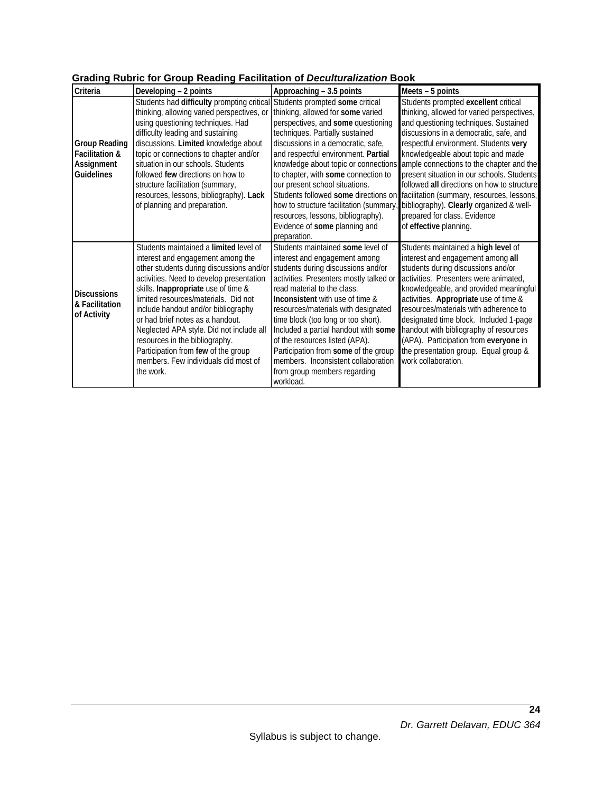| Criteria                      | Developing - 2 points                                                       | Approaching - 3.5 points                | Meets - 5 points                            |  |  |
|-------------------------------|-----------------------------------------------------------------------------|-----------------------------------------|---------------------------------------------|--|--|
|                               | Students had difficulty prompting critical Students prompted some critical  |                                         | Students prompted excellent critical        |  |  |
|                               | thinking, allowing varied perspectives, or                                  | thinking, allowed for some varied       | thinking, allowed for varied perspectives,  |  |  |
|                               | using questioning techniques. Had                                           | perspectives, and some questioning      | and questioning techniques. Sustained       |  |  |
|                               | difficulty leading and sustaining                                           | techniques. Partially sustained         | discussions in a democratic, safe, and      |  |  |
| <b>Group Reading</b>          | discussions. Limited knowledge about                                        | discussions in a democratic, safe,      | respectful environment. Students very       |  |  |
| <b>Facilitation &amp;</b>     | topic or connections to chapter and/or                                      | and respectful environment. Partial     | knowledgeable about topic and made          |  |  |
| Assignment                    | situation in our schools. Students                                          | knowledge about topic or connections    | ample connections to the chapter and the    |  |  |
| <b>Guidelines</b>             | followed few directions on how to                                           | to chapter, with some connection to     | present situation in our schools. Students  |  |  |
|                               | structure facilitation (summary,                                            | our present school situations.          | followed all directions on how to structure |  |  |
|                               | resources, lessons, bibliography). Lack                                     | Students followed some directions on    | facilitation (summary, resources, lessons,  |  |  |
|                               | of planning and preparation.                                                | how to structure facilitation (summary  | bibliography). Clearly organized & well-    |  |  |
|                               |                                                                             | resources, lessons, bibliography).      | prepared for class. Evidence                |  |  |
|                               |                                                                             | Evidence of some planning and           | of effective planning.                      |  |  |
|                               |                                                                             | preparation.                            |                                             |  |  |
|                               | Students maintained a limited level of                                      | Students maintained some level of       | Students maintained a high level of         |  |  |
|                               | interest and engagement among the                                           | interest and engagement among           | interest and engagement among all           |  |  |
|                               | other students during discussions and/or students during discussions and/or |                                         | students during discussions and/or          |  |  |
|                               | activities. Need to develop presentation                                    | activities. Presenters mostly talked or | activities. Presenters were animated,       |  |  |
| <b>Discussions</b>            | skills. Inappropriate use of time &                                         | read material to the class.             | knowledgeable, and provided meaningful      |  |  |
| & Facilitation<br>of Activity | limited resources/materials. Did not                                        | Inconsistent with use of time &         | activities. Appropriate use of time &       |  |  |
|                               | include handout and/or bibliography                                         | resources/materials with designated     | resources/materials with adherence to       |  |  |
|                               | or had brief notes as a handout.                                            | time block (too long or too short).     | designated time block. Included 1-page      |  |  |
|                               | Neglected APA style. Did not include all                                    | Included a partial handout with some    | handout with bibliography of resources      |  |  |
|                               | resources in the bibliography.                                              | of the resources listed (APA).          | (APA). Participation from everyone in       |  |  |
|                               | Participation from few of the group                                         | Participation from some of the group    | the presentation group. Equal group &       |  |  |
|                               | members. Few individuals did most of                                        | members. Inconsistent collaboration     | work collaboration.                         |  |  |
|                               | the work.                                                                   | from group members regarding            |                                             |  |  |
|                               |                                                                             | workload.                               |                                             |  |  |

# **Grading Rubric for Group Reading Facilitation of** *Deculturalization* **Book**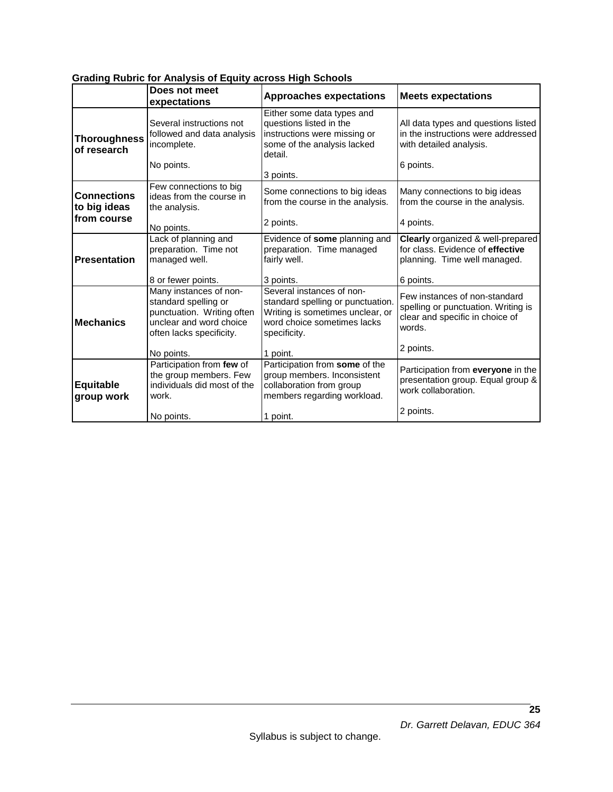|                                    | Does not meet<br>expectations                                                                                                       | <b>Approaches expectations</b>                                                                                                                    | <b>Meets expectations</b>                                                                                         |
|------------------------------------|-------------------------------------------------------------------------------------------------------------------------------------|---------------------------------------------------------------------------------------------------------------------------------------------------|-------------------------------------------------------------------------------------------------------------------|
| <b>Thoroughness</b><br>of research | Several instructions not<br>followed and data analysis<br>incomplete.<br>No points.                                                 | Either some data types and<br>questions listed in the<br>instructions were missing or<br>some of the analysis lacked<br>detail.                   | All data types and questions listed<br>in the instructions were addressed<br>with detailed analysis.<br>6 points. |
|                                    |                                                                                                                                     | 3 points.                                                                                                                                         |                                                                                                                   |
| <b>Connections</b><br>to big ideas | Few connections to big<br>ideas from the course in<br>the analysis.                                                                 | Some connections to big ideas<br>from the course in the analysis.                                                                                 | Many connections to big ideas<br>from the course in the analysis.                                                 |
| from course                        | No points.                                                                                                                          | 2 points.                                                                                                                                         | 4 points.                                                                                                         |
| <b>Presentation</b>                | Lack of planning and<br>preparation. Time not<br>managed well.                                                                      | Evidence of some planning and<br>preparation. Time managed<br>fairly well.                                                                        | Clearly organized & well-prepared<br>for class. Evidence of effective<br>planning. Time well managed.             |
|                                    | 8 or fewer points.                                                                                                                  | 3 points.                                                                                                                                         | 6 points.                                                                                                         |
| <b>Mechanics</b>                   | Many instances of non-<br>standard spelling or<br>punctuation. Writing often<br>unclear and word choice<br>often lacks specificity. | Several instances of non-<br>standard spelling or punctuation.<br>Writing is sometimes unclear, or<br>word choice sometimes lacks<br>specificity. | Few instances of non-standard<br>spelling or punctuation. Writing is<br>clear and specific in choice of<br>words. |
|                                    | No points.                                                                                                                          | 1 point.                                                                                                                                          | 2 points.                                                                                                         |
| Equitable<br>group work            | Participation from few of<br>the group members. Few<br>individuals did most of the<br>work.                                         | Participation from some of the<br>group members. Inconsistent<br>collaboration from group<br>members regarding workload.                          | Participation from everyone in the<br>presentation group. Equal group &<br>work collaboration.                    |
|                                    | No points.                                                                                                                          | 1 point.                                                                                                                                          | 2 points.                                                                                                         |

# **Grading Rubric for Analysis of Equity across High Schools**